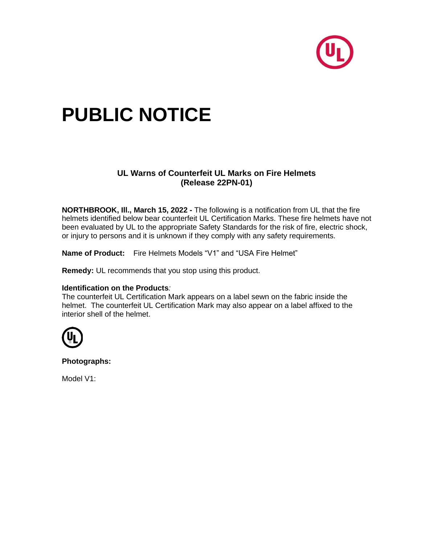

## **PUBLIC NOTICE**

## **UL Warns of Counterfeit UL Marks on Fire Helmets (Release 22PN-01)**

**NORTHBROOK, Ill., March 15, 2022 -** The following is a notification from UL that the fire helmets identified below bear counterfeit UL Certification Marks. These fire helmets have not been evaluated by UL to the appropriate Safety Standards for the risk of fire, electric shock, or injury to persons and it is unknown if they comply with any safety requirements.

**Name of Product:** Fire Helmets Models "V1" and "USA Fire Helmet"

**Remedy:** UL recommends that you stop using this product.

## **Identification on the Products***:*

The counterfeit UL Certification Mark appears on a label sewn on the fabric inside the helmet. The counterfeit UL Certification Mark may also appear on a label affixed to the interior shell of the helmet.



**Photographs:**

Model V1: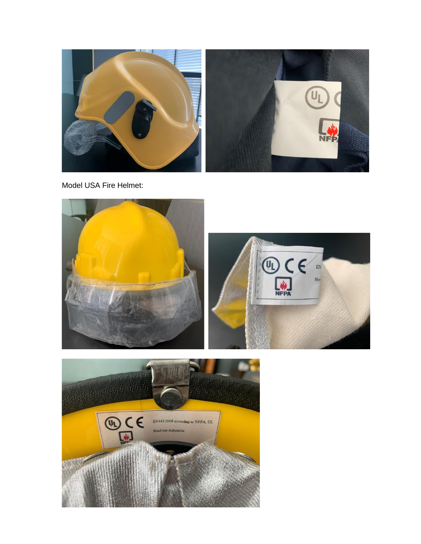

Model USA Fire Helmet: